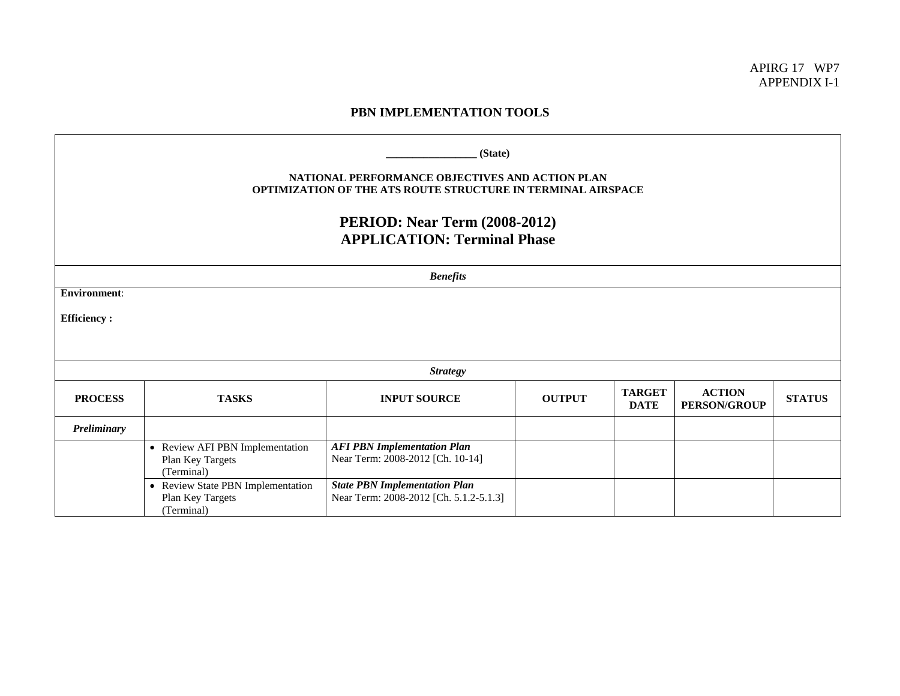APIRG 17 WP7 APPENDIX I-1

## **PBN IMPLEMENTATION TOOLS**

| (State)<br>NATIONAL PERFORMANCE OBJECTIVES AND ACTION PLAN<br><b>OPTIMIZATION OF THE ATS ROUTE STRUCTURE IN TERMINAL AIRSPACE</b><br><b>PERIOD: Near Term (2008-2012)</b><br><b>APPLICATION: Terminal Phase</b> |                                                                     |                                                                                |               |                              |                                      |               |  |
|-----------------------------------------------------------------------------------------------------------------------------------------------------------------------------------------------------------------|---------------------------------------------------------------------|--------------------------------------------------------------------------------|---------------|------------------------------|--------------------------------------|---------------|--|
| <b>Benefits</b>                                                                                                                                                                                                 |                                                                     |                                                                                |               |                              |                                      |               |  |
| <b>Environment:</b>                                                                                                                                                                                             |                                                                     |                                                                                |               |                              |                                      |               |  |
| <b>Efficiency:</b>                                                                                                                                                                                              |                                                                     |                                                                                |               |                              |                                      |               |  |
|                                                                                                                                                                                                                 |                                                                     |                                                                                |               |                              |                                      |               |  |
| <b>Strategy</b>                                                                                                                                                                                                 |                                                                     |                                                                                |               |                              |                                      |               |  |
| <b>PROCESS</b>                                                                                                                                                                                                  | <b>TASKS</b>                                                        | <b>INPUT SOURCE</b>                                                            | <b>OUTPUT</b> | <b>TARGET</b><br><b>DATE</b> | <b>ACTION</b><br><b>PERSON/GROUP</b> | <b>STATUS</b> |  |
| Preliminary                                                                                                                                                                                                     |                                                                     |                                                                                |               |                              |                                      |               |  |
|                                                                                                                                                                                                                 | • Review AFI PBN Implementation<br>Plan Key Targets<br>(Terminal)   | <b>AFI PBN Implementation Plan</b><br>Near Term: 2008-2012 [Ch. 10-14]         |               |                              |                                      |               |  |
|                                                                                                                                                                                                                 | • Review State PBN Implementation<br>Plan Key Targets<br>(Terminal) | <b>State PBN Implementation Plan</b><br>Near Term: 2008-2012 [Ch. 5.1.2-5.1.3] |               |                              |                                      |               |  |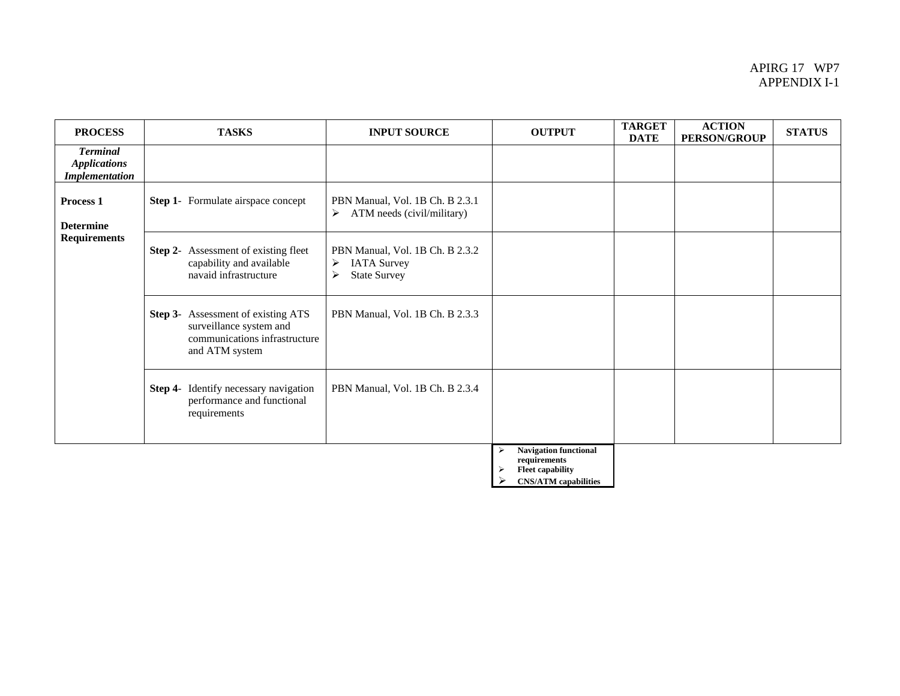## APIRG 17 WP7 APPENDIX I-1

| <b>PROCESS</b>                                                  | <b>TASKS</b>                                                                                                            | <b>INPUT SOURCE</b>                                                                                        | <b>OUTPUT</b>                                                                | <b>TARGET</b><br><b>DATE</b> | <b>ACTION</b><br><b>PERSON/GROUP</b> | <b>STATUS</b> |
|-----------------------------------------------------------------|-------------------------------------------------------------------------------------------------------------------------|------------------------------------------------------------------------------------------------------------|------------------------------------------------------------------------------|------------------------------|--------------------------------------|---------------|
| <b>Terminal</b><br><b>Applications</b><br><b>Implementation</b> |                                                                                                                         |                                                                                                            |                                                                              |                              |                                      |               |
| Process <sub>1</sub><br><b>Determine</b><br><b>Requirements</b> | <b>Step 1-</b> Formulate airspace concept                                                                               | PBN Manual, Vol. 1B Ch. B 2.3.1<br>ATM needs (civil/military)<br>$\triangleright$                          |                                                                              |                              |                                      |               |
|                                                                 | <b>Step 2-</b> Assessment of existing fleet<br>capability and available<br>navaid infrastructure                        | PBN Manual, Vol. 1B Ch. B 2.3.2<br>$\blacktriangleright$<br><b>IATA Survey</b><br><b>State Survey</b><br>≻ |                                                                              |                              |                                      |               |
|                                                                 | <b>Step 3-</b> Assessment of existing ATS<br>surveillance system and<br>communications infrastructure<br>and ATM system | PBN Manual, Vol. 1B Ch. B 2.3.3                                                                            |                                                                              |                              |                                      |               |
|                                                                 | Identify necessary navigation<br>Step 4-<br>performance and functional<br>requirements                                  | PBN Manual, Vol. 1B Ch. B 2.3.4                                                                            |                                                                              |                              |                                      |               |
|                                                                 |                                                                                                                         |                                                                                                            | <b>Navigation functional</b><br>⋗<br>requirements<br><b>Fleet capability</b> |                              |                                      |               |

¾ **CNS/ATM capabilities**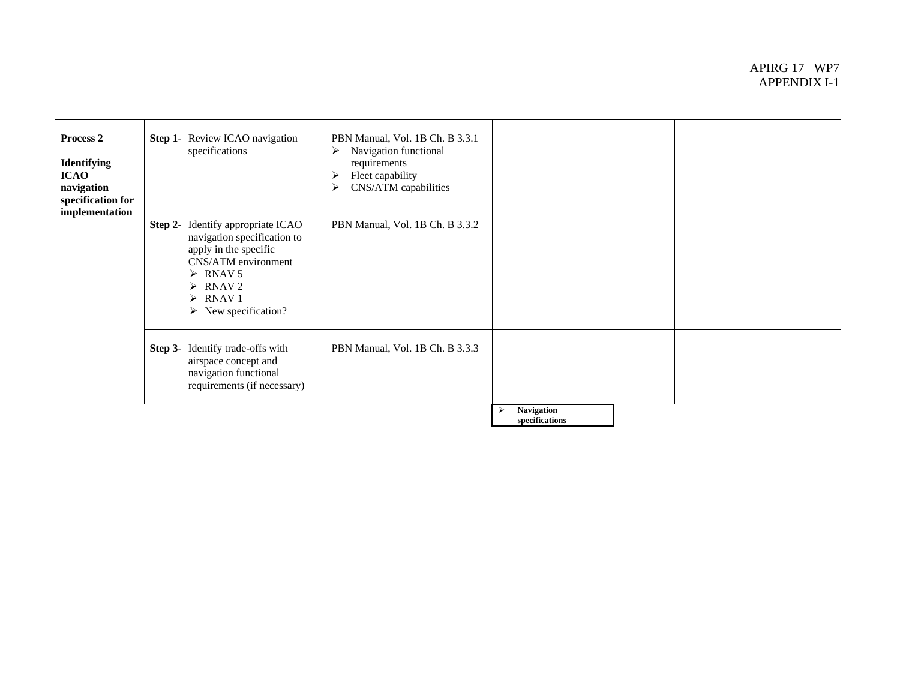## APIRG 17 WP7 APPENDIX I-1

| Process 2<br><b>Identifying</b><br><b>ICAO</b><br>navigation<br>specification for<br>implementation | Step 1- Review ICAO navigation<br>specifications                                                                                                                                                                                            | PBN Manual, Vol. 1B Ch. B 3.3.1<br>Navigation functional<br>≻<br>requirements<br>Fleet capability<br>CNS/ATM capabilities<br>➤ |                                     |  |
|-----------------------------------------------------------------------------------------------------|---------------------------------------------------------------------------------------------------------------------------------------------------------------------------------------------------------------------------------------------|--------------------------------------------------------------------------------------------------------------------------------|-------------------------------------|--|
|                                                                                                     | Identify appropriate ICAO<br>Step 2-<br>navigation specification to<br>apply in the specific<br>CNS/ATM environment<br>$\triangleright$ RNAV 5<br>$\triangleright$ RNAV 2<br>$\triangleright$ RNAV 1<br>$\triangleright$ New specification? | PBN Manual, Vol. 1B Ch. B 3.3.2                                                                                                |                                     |  |
|                                                                                                     | Identify trade-offs with<br>Step 3-<br>airspace concept and<br>navigation functional<br>requirements (if necessary)                                                                                                                         | PBN Manual, Vol. 1B Ch. B 3.3.3                                                                                                |                                     |  |
|                                                                                                     |                                                                                                                                                                                                                                             |                                                                                                                                | <b>Navigation</b><br>specifications |  |